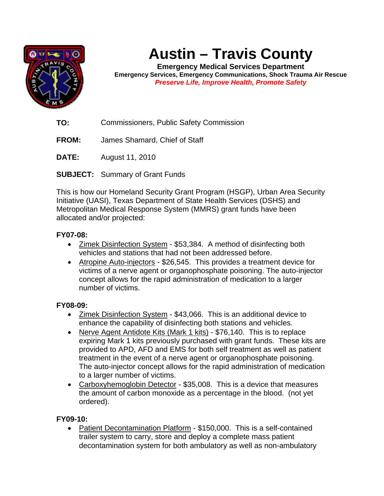

# **Austin – Travis County**

**Emergency Medical Services Department Emergency Services, Emergency Communications, Shock Trauma Air Rescue**  *Preserve Life, Improve Health, Promote Safety* 

**TO:** Commissioners, Public Safety Commission

**FROM:** James Shamard, Chief of Staff

**DATE:** August 11, 2010

**SUBJECT:** Summary of Grant Funds

This is how our Homeland Security Grant Program (HSGP), Urban Area Security Initiative (UASI), Texas Department of State Health Services (DSHS) and Metropolitan Medical Response System (MMRS) grant funds have been allocated and/or projected:

## **FY07-08:**

- Zimek Disinfection System \$53,384. A method of disinfecting both vehicles and stations that had not been addressed before.
- Atropine Auto-injectors \$26,545. This provides a treatment device for victims of a nerve agent or organophosphate poisoning. The auto-injector concept allows for the rapid administration of medication to a larger number of victims.

#### **FY08-09:**

- Zimek Disinfection System \$43,066. This is an additional device to enhance the capability of disinfecting both stations and vehicles.
- Nerve Agent Antidote Kits (Mark 1 kits) \$76,140. This is to replace expiring Mark 1 kits previously purchased with grant funds. These kits are provided to APD, AFD and EMS for both self treatment as well as patient treatment in the event of a nerve agent or organophosphate poisoning. The auto-injector concept allows for the rapid administration of medication to a larger number of victims.
- Carboxyhemoglobin Detector \$35,008. This is a device that measures the amount of carbon monoxide as a percentage in the blood. (not yet ordered).

## **FY09-10:**

• Patient Decontamination Platform - \$150,000. This is a self-contained trailer system to carry, store and deploy a complete mass patient decontamination system for both ambulatory as well as non-ambulatory